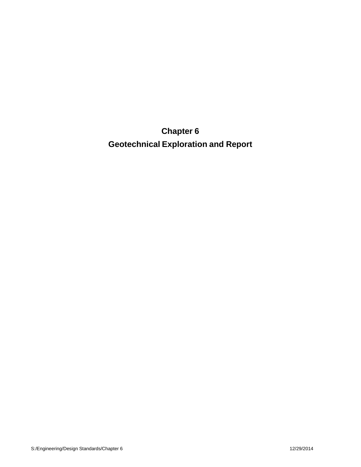**Chapter 6 Geotechnical Exploration and Report**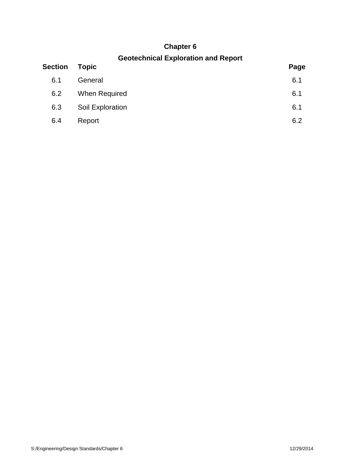# **Chapter 6**

## **Geotechnical Exploration and Report**

| <b>Section</b> | <b>Topic</b>     | Page |
|----------------|------------------|------|
| 6.1            | General          | 6.1  |
| 6.2            | When Required    | 6.1  |
| 6.3            | Soil Exploration | 6.1  |
| 6.4            | Report           | 6.2  |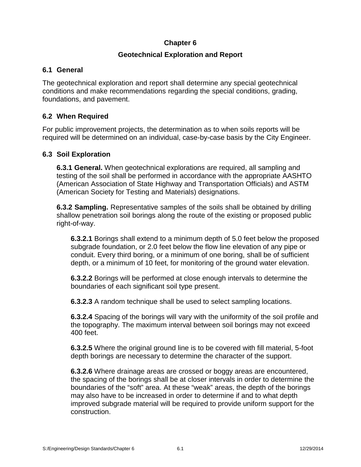## **Chapter 6**

## **Geotechnical Exploration and Report**

## **6.1 General**

The geotechnical exploration and report shall determine any special geotechnical conditions and make recommendations regarding the special conditions, grading, foundations, and pavement.

## **6.2 When Required**

For public improvement projects, the determination as to when soils reports will be required will be determined on an individual, case-by-case basis by the City Engineer.

#### **6.3 Soil Exploration**

**6.3.1 General.** When geotechnical explorations are required, all sampling and testing of the soil shall be performed in accordance with the appropriate AASHTO (American Association of State Highway and Transportation Officials) and ASTM (American Society for Testing and Materials) designations.

**6.3.2 Sampling.** Representative samples of the soils shall be obtained by drilling shallow penetration soil borings along the route of the existing or proposed public right-of-way.

**6.3.2.1** Borings shall extend to a minimum depth of 5.0 feet below the proposed subgrade foundation, or 2.0 feet below the flow line elevation of any pipe or conduit. Every third boring, or a minimum of one boring, shall be of sufficient depth, or a minimum of 10 feet, for monitoring of the ground water elevation.

**6.3.2.2** Borings will be performed at close enough intervals to determine the boundaries of each significant soil type present.

**6.3.2.3** A random technique shall be used to select sampling locations.

**6.3.2.4** Spacing of the borings will vary with the uniformity of the soil profile and the topography. The maximum interval between soil borings may not exceed 400 feet.

**6.3.2.5** Where the original ground line is to be covered with fill material, 5-foot depth borings are necessary to determine the character of the support.

**6.3.2.6** Where drainage areas are crossed or boggy areas are encountered, the spacing of the borings shall be at closer intervals in order to determine the boundaries of the "soft" area. At these "weak" areas, the depth of the borings may also have to be increased in order to determine if and to what depth improved subgrade material will be required to provide uniform support for the construction.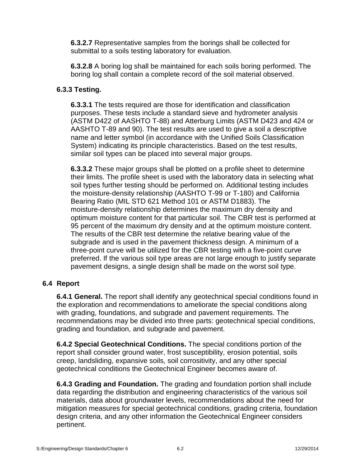**6.3.2.7** Representative samples from the borings shall be collected for submittal to a soils testing laboratory for evaluation.

**6.3.2.8** A boring log shall be maintained for each soils boring performed. The boring log shall contain a complete record of the soil material observed.

#### **6.3.3 Testing.**

**6.3.3.1** The tests required are those for identification and classification purposes. These tests include a standard sieve and hydrometer analysis (ASTM D422 of AASHTO T-88) and Atterburg Limits (ASTM D423 and 424 or AASHTO T-89 and 90). The test results are used to give a soil a descriptive name and letter symbol (in accordance with the Unified Soils Classification System) indicating its principle characteristics. Based on the test results, similar soil types can be placed into several major groups.

**6.3.3.2** These major groups shall be plotted on a profile sheet to determine their limits. The profile sheet is used with the laboratory data in selecting what soil types further testing should be performed on. Additional testing includes the moisture-density relationship (AASHTO T-99 or T-180) and California Bearing Ratio (MIL STD 621 Method 101 or ASTM D1883). The moisture-density relationship determines the maximum dry density and optimum moisture content for that particular soil. The CBR test is performed at 95 percent of the maximum dry density and at the optimum moisture content. The results of the CBR test determine the relative bearing value of the subgrade and is used in the pavement thickness design. A minimum of a three-point curve will be utilized for the CBR testing with a five-point curve preferred. If the various soil type areas are not large enough to justify separate pavement designs, a single design shall be made on the worst soil type.

#### **6.4 Report**

**6.4.1 General.** The report shall identify any geotechnical special conditions found in the exploration and recommendations to ameliorate the special conditions along with grading, foundations, and subgrade and pavement requirements. The recommendations may be divided into three parts: geotechnical special conditions, grading and foundation, and subgrade and pavement.

**6.4.2 Special Geotechnical Conditions.** The special conditions portion of the report shall consider ground water, frost susceptibility, erosion potential, soils creep, landsliding, expansive soils, soil corrositivity, and any other special geotechnical conditions the Geotechnical Engineer becomes aware of.

**6.4.3 Grading and Foundation.** The grading and foundation portion shall include data regarding the distribution and engineering characteristics of the various soil materials, data about groundwater levels, recommendations about the need for mitigation measures for special geotechnical conditions, grading criteria, foundation design criteria, and any other information the Geotechnical Engineer considers pertinent.